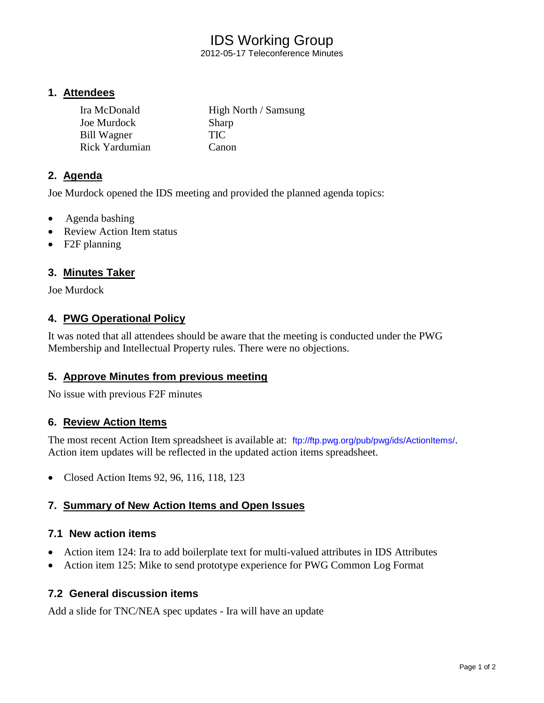# IDS Working Group

2012-05-17 Teleconference Minutes

## **1. Attendees**

| Ira McDonald   | High North / Samsung |
|----------------|----------------------|
| Joe Murdock    | <b>Sharp</b>         |
| Bill Wagner    | <b>TIC</b>           |
| Rick Yardumian | Canon                |

## **2. Agenda**

Joe Murdock opened the IDS meeting and provided the planned agenda topics:

- Agenda bashing
- Review Action Item status
- F2F planning

## **3. Minutes Taker**

Joe Murdock

## **4. PWG Operational Policy**

It was noted that all attendees should be aware that the meeting is conducted under the PWG Membership and Intellectual Property rules. There were no objections.

## **5. Approve Minutes from previous meeting**

No issue with previous F2F minutes

#### **6. Review Action Items**

The most recent Action Item spreadsheet is available at: <ftp://ftp.pwg.org/pub/pwg/ids/ActionItems/>. Action item updates will be reflected in the updated action items spreadsheet.

• Closed Action Items 92, 96, 116, 118, 123

## **7. Summary of New Action Items and Open Issues**

## **7.1 New action items**

- Action item 124: Ira to add boilerplate text for multi-valued attributes in IDS Attributes
- Action item 125: Mike to send prototype experience for PWG Common Log Format

## **7.2 General discussion items**

Add a slide for TNC/NEA spec updates - Ira will have an update